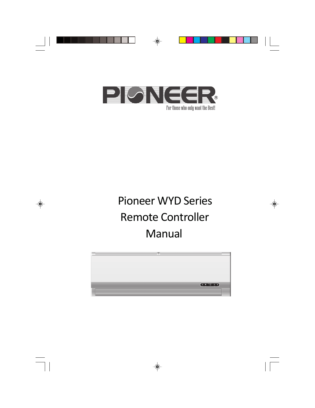

For those who only want the Best!

# Pioneer WYD Series Remote Controller Manual

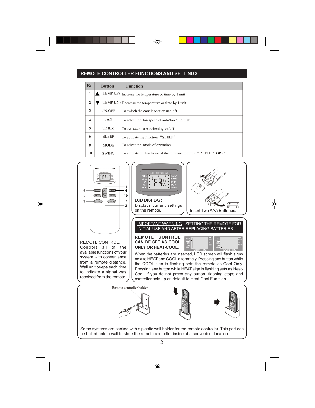## **REMOTE CONTROLLER FUNCTIONS AND SETTINGS**

| No.                     | <b>Button</b> | <b>Function</b>                                                |
|-------------------------|---------------|----------------------------------------------------------------|
| 1                       | (TEMP UP)     | Increase the temperature or time by 1 unit                     |
| $\overline{2}$          |               | (TEMP DN) Decrease the temperature or time by 1 unit           |
| 3                       | ON/OFF        | To switch the conditioner on and off.                          |
| $\overline{\mathbf{4}}$ | <b>FAN</b>    | To select the fan speed of auto/low/mid/high                   |
| 5                       | <b>TIMER</b>  | To set automatic switching-on/off                              |
| 6                       | <b>SLEEP</b>  | To activate the function "SLEEP"                               |
| 8                       | <b>MODE</b>   | To select the mode of operation                                |
| 10                      | <b>SWING</b>  | To activate or deactivate of the movement of the "DEFLECTORS". |

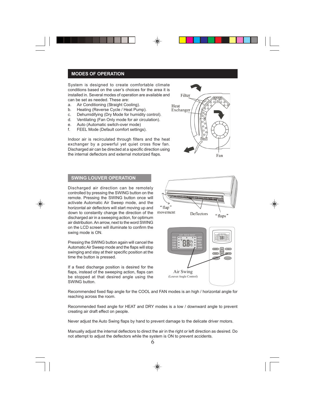System is designed to create comfortable climate conditions based on the user's choices for the area it is installed in. Several modes of operation are available and can be set as needed. These are:

- a. Air Conditioning (Straight Cooling).
- b. Heating (Reverse Cycle / Heat Pump).
- c. Dehumidifying (Dry Mode for humidity control).
- d. Ventilating (Fan Only mode for air circulation).
- e. Auto (Automatic switch-over mode)
- f. FEEL Mode (Default comfort settings).

Indoor air is recirculated through filters and the heat exchanger by a powerful yet quiet cross flow fan. Discharged air can be directed at a specific direction using the internal deflectors and external motorized flaps.



## **SWING LOUVER OPERATION**

Discharged air direction can be remotely controlled by pressing the SWING button on the remote. Pressing the SWING button once will activate Automatic Air Sweep mode, and the horizontal air deflectors will start moving up and down to constantly change the direction of the discharged air in a sweeping action, for optimum air distribution. An arrow, next to the word SWING on the LCD screen will illuminate to confirm the swing mode is ON.

Pressing the SWING button again will cancel the Automatic Air Sweep mode and the flaps will stop swinging and stay at their specific position at the time the button is pressed.

If a fixed discharge position is desired for the flaps, instead of the sweeping action, flaps can be stopped at that desired angle using the SWING button.



Recommended fixed flap angle for the COOL and FAN modes is an high / horizontal angle for reaching across the room.

Recommended fixed angle for HEAT and DRY modes is a low / downward angle to prevent creating air draft effect on people.

Never adjust the Auto Swing flaps by hand to prevent damage to the delicate driver motors.

Manually adjust the internal deflectors to direct the air in the right or left direction as desired. Do not attempt to adjust the deflectors while the system is ON to prevent accidents.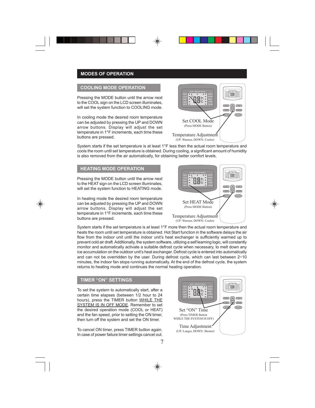### **COOLING MODE OPERATION**

Pressing the MODE button until the arrow next to the COOL sign on the LCD screen illuminates. will set the system function to COOLING mode.

In cooling mode the desired room temperature can be adjusted by pressing the UP and DOWN arrow buttons. Display will adjust the set temperature in 1°F increments, each time these buttons are pressed.<br>buttons are pressed.



System starts if the set temperature is at least 1°F less then the actual room temperature and cools the room until set temperature is obtained. During cooling, a significant amount of humidity is also removed from the air automatically, for obtaining better comfort levels.

### **HEATING MODE OPERATION**

Pressing the MODE button until the arrow next to the HEAT sign on the LCD screen illuminates. will set the system function to HEATING mode.

In heating mode the desired room temperature can be adjusted by pressing the UP and DOWN arrow buttons. Display will adjust the set temperature in 1°F increments, each time these buttons are pressed.<br>buttons are pressed.



System starts if the set temperature is at least 1°F more then the actual room temperature and heats the room until set temperature is obtained. Hot Start function in the software delays the air flow from the indoor unit until the indoor unit's heat exchanger is sufficiently warmed up to prevent cold air draft. Additionally, the system software, utilizing a self learning logic, will constantly monitor and automatically activate a suitable defrost cycle when necessary, to melt down any ice accumulation on the outdoor unit's heat exchanger. Defrost cycle is entered into automatically and can not be overridden by the user. During defrost cycle, which can last between 2~10 minutes, the indoor fan stops running automatically. At the end of the defrost cycle, the system returns to heating mode and continues the normal heating operation.

#### **TIMER "ON" SETTINGS**

To set the system to automatically start, after a certain time elapses (between 1/2 hour to 24 hours), press the TIMER button WHILE THE SYSTEM IS IN OFF MODE. Remember to set the desired operation mode (COOL or HEAT) and the fan speed, prior to setting the ON timer, then turn off the system and set the ON timer.

To cancel ON timer, press TIMER button again. In case of power failure timer settings cancel out.

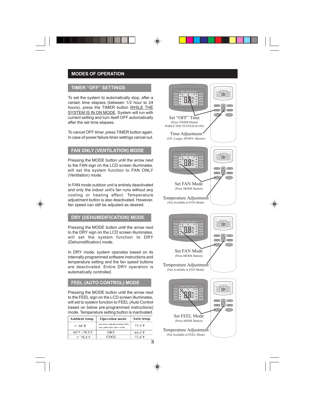## **TIMER "OFF" SETTINGS**

To set the system to automatically stop, after a certain time elapses (between 1/2 hour to 24 hours), press the TIMER button WHILE THE SYSTEM IS IN ON MODE. System will run with current setting and turn itself OFF automatically after the set time elapses.

To cancel OFF timer, press TIMER button again. In cancel OFF timer, press TIMER button again.<br>In case of power failure timer settings cancel out. The Large DOVN Shart

## **FAN ONLY (VENTILATION) MODE**

Pressing the MODE button until the arrow next to the FAN sign on the LCD screen illuminates. will set the system function to FAN ONLY (Ventilation) mode.

In FAN mode outdoor unit is entirely deactivated and only the indoor unit's fan runs without any cooling or heating effect. Temperature adjustment button is also deactivated. However, fan speed can still be adjusted as desired.

## **DRY (DEHUMIDIFICATION) MODE**

Pressing the MODE button until the arrow next to the DRY sign on the LCD screen illuminates, will set the system function to DRY (Dehumidification) mode.

In DRY mode, system operates based on its internally programmed software instructions and temperature setting and the fan speed buttons are deactivated. Entire DRY operation is automatically controlled.

## **FEEL (AUTO CONTROL) MODE**

Pressing the MODE button until the arrow next to the FEEL sign on the LCD screen illuminates. will set to system function to FEEL (Auto Control based on below pre-programmed instructions) mode. Temperature setting button is inactivated.

| <b>Ambient temp</b>              | <b>Operation mode</b>                                           | Auto temp.       |
|----------------------------------|-----------------------------------------------------------------|------------------|
| $\rm < 68^{\circ}F$              | HEATING (FOR HEAT PUMP TYPE)<br><b>FAN (FOR COOL ONLY TYPE)</b> | $73.4^{\circ}F$  |
| $68^{\circ}F \sim 78.8^{\circ}F$ | <b>DRY</b>                                                      | $64.4^{\circ}$ F |
| $> 78.8$ °F                      | COOL                                                            | $73.4^\circ F$   |

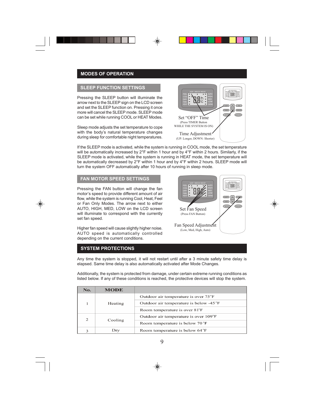### **SLEEP FUNCTION SETTINGS**

Pressing the SLEEP button will illuminate the arrow next to the SLEEP sign on the LCD screen and set the SLEEP function on. Pressing it once more will cancel the SLEEP mode. SLEEP mode can be set while running COOL or HEAT Modes.

Sleep mode adjusts the set temperature to cope with the body's natural temperature changes during sleep for comfortable night temperatures.



If the SLEEP mode is activated, while the system is running in COOL mode, the set temperature will be automatically increased by 2°F within 1 hour and by 4°F within 2 hours. Similarly, if the SLEEP mode is activated, while the system is running in HEAT mode, the set temperature will be automatically decreased by 2°F within 1 hour and by 4°F within 2 hours. SLEEP mode will turn the system OFF automatically after 10 hours of running in sleep mode.

#### **FAN MOTOR SPEED SETTINGS**

Pressing the FAN button will change the fan motor's speed to provide different amount of air flow, while the system is running Cool, Heat, Feel or Fan Only Modes. The arrow next to either AUTO, HIGH, MED, LOW on the LCD screen will illuminate to correspond with the currently set fan speed.

Higher fan speed will cause slightly higher noise. AUTO speed is automatically controlled depending on the current conditions.

## **SYSTEM PROTECTIONS**



Any time the system is stopped, it will not restart until after a 3 minute safety time delay is elapsed. Same time delay is also automatically activated after Mode Changes.

Additionally, the system is protected from damage, under certain extreme running conditions as listed below. If any of these conditions is reached, the protective devices will stop the system.

| No. | <b>MODE</b> |                                             |
|-----|-------------|---------------------------------------------|
|     | Heating     | Outdoor air temperature is over 75°F        |
|     |             | Outdoor air temperature is below -45 °F     |
|     |             | Room temperature is over 81°F               |
| 2   |             | Outdoor air temperature is over 109°F       |
|     | Cooling     | Room temperature is below 70°F              |
| з   | Dry         | Room temperature is below 64 <sup>°</sup> F |